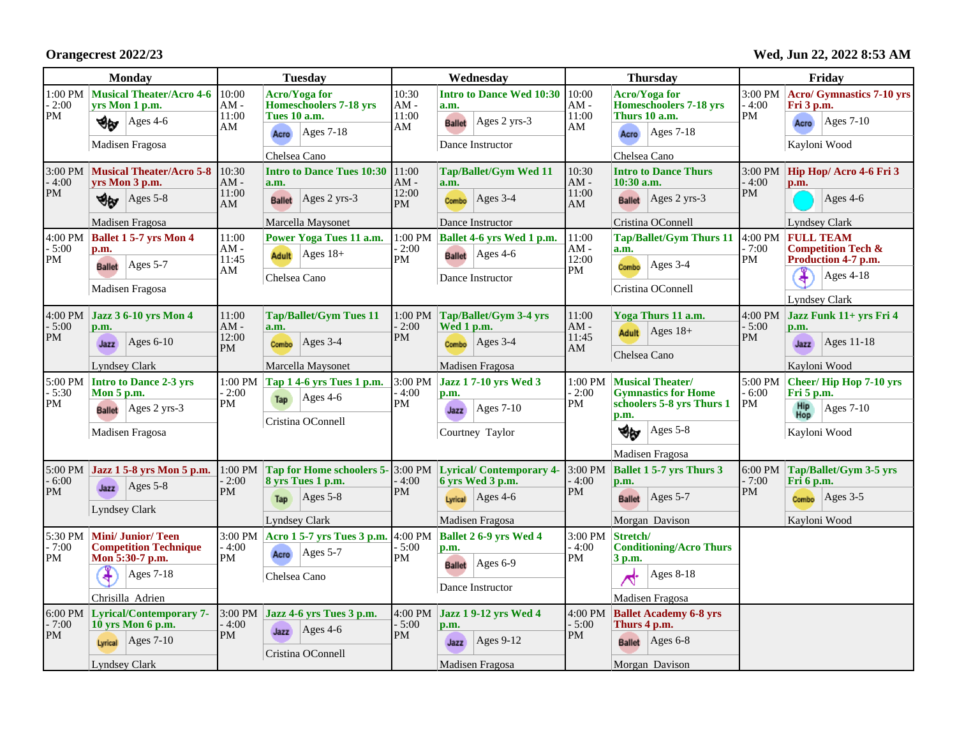**Orangecrest 2022/23**

**Wed, Jun 22, 2022 8:53 AM**

| <b>Monday</b>                                          |                                                                                                                                                                                     | <b>Tuesday</b>                                                                                                                                                                                                                                   | Wednesday                                                                |                                                                                                                                                                                          | <b>Thursday</b>                                                       |                                                                                                                                                                                                   | Friday                                                      |                                                                                                                                                                                         |
|--------------------------------------------------------|-------------------------------------------------------------------------------------------------------------------------------------------------------------------------------------|--------------------------------------------------------------------------------------------------------------------------------------------------------------------------------------------------------------------------------------------------|--------------------------------------------------------------------------|------------------------------------------------------------------------------------------------------------------------------------------------------------------------------------------|-----------------------------------------------------------------------|---------------------------------------------------------------------------------------------------------------------------------------------------------------------------------------------------|-------------------------------------------------------------|-----------------------------------------------------------------------------------------------------------------------------------------------------------------------------------------|
| $1:00$ $\mathrm{PM}$<br>$-2:00$<br>PM                  | <b>Musical Theater/Acro 4-6</b><br>yrs Mon 1 p.m.<br>Ages 4-6<br>∜εν<br>Madisen Fragosa                                                                                             | 10:00<br><b>Acro/Yoga for</b><br>$AM -$<br><b>Homeschoolers 7-18 yrs</b><br>11:00<br><b>Tues 10 a.m.</b><br>AM<br>$ Ages 7-18$<br>Acro<br>Chelsea Cano                                                                                           | 10:30<br>$AM -$<br>11:00<br>AM                                           | <b>Intro to Dance Wed 10:30</b><br>a.m.<br>Ages 2 yrs-3<br><b>Ballet</b><br>Dance Instructor                                                                                             | 10:00<br>$AM -$<br>11:00<br>AM                                        | <b>Acro/Yoga for</b><br><b>Homeschoolers 7-18 yrs</b><br>Thurs 10 a.m.<br>$Ages 7-18$<br>Acro<br>Chelsea Cano                                                                                     | 3:00 PM<br>- 4:00<br>PM                                     | <b>Acro/ Gymnastics 7-10 yrs</b><br>Fri 3 p.m.<br>Ages 7-10<br>Acro<br>Kayloni Wood                                                                                                     |
| $3:00$ PM<br>$-4:00$<br>PM<br>4:00 PM<br>$-5:00$<br>PM | <b>Musical Theater/Acro 5-8</b><br>vrs Mon 3 p.m.<br>$Ages$ 5-8<br>৩⊌<br>Madisen Fragosa<br><b>Ballet 1 5-7 yrs Mon 4</b><br>p.m.<br>Ages $5-7$<br><b>Ballet</b><br>Madisen Fragosa | 10:30<br><b>Intro to Dance Tues 10:30</b><br>$AM -$<br>a.m.<br>11:00<br>Ages 2 yrs-3<br><b>Ballet</b><br>AM<br>Marcella Maysonet<br>11:00<br>Power Yoga Tues 11 a.m.<br>$AM -$<br>$ Ages 18+$<br><b>Adult</b><br>11:45<br>AM<br>Chelsea Cano     | 11:00<br>$AM -$<br>12:00<br><b>PM</b><br>1:00 PM<br>$-2:00$<br><b>PM</b> | <b>Tap/Ballet/Gym Wed 11</b><br>a.m.<br>Ages 3-4<br>Combo<br>Dance Instructor<br>Ballet 4-6 yrs Wed 1 p.m.<br>$Ages$ 4-6<br><b>Ballet</b><br>Dance Instructor                            | 10:30<br>$AM -$<br>11:00<br>AM<br>11:00<br>$AM -$<br>12:00<br>PM      | <b>Intro to Dance Thurs</b><br>$10:30$ a.m.<br>$ {\rm Ages 2 yrs-3} $<br><b>Ballet</b><br>Cristina OConnell<br><b>Tap/Ballet/Gym Thurs 11</b><br>a.m.<br>Ages $3-4$<br>Combo<br>Cristina OConnell | 3:00 PM<br>$-4:00$<br><b>PM</b><br>4:00 PM<br>$-7:00$<br>PM | Hip Hop/ Acro 4-6 Fri 3<br>p.m.<br>Ages 4-6<br><b>Lyndsey Clark</b><br><b>FULL TEAM</b><br><b>Competition Tech &amp;</b><br>Production 4-7 p.m.<br>Ages 4-18<br>¥                       |
| 4:00 PM<br>$-5:00$<br>PM<br>5:00 PM<br>$-5:30$<br>PM   | <b>Jazz 3 6-10 yrs Mon 4</b><br>p.m.<br>Ages $6-10$<br>Jazz<br><b>Lyndsey Clark</b><br>Intro to Dance 2-3 yrs<br>Mon 5 p.m.<br>$Ages$ 2 yrs-3<br><b>Ballet</b><br>Madisen Fragosa   | 11:00<br><b>Tap/Ballet/Gym Tues 11</b><br>$AM -$<br>a.m.<br>12:00<br>Ages $3-4$<br>Combo<br>PM<br>Marcella Maysonet<br>1:00 PM<br>Tap 1 4-6 yrs Tues 1 p.m.<br>$-2:00$<br>$Ages$ 4-6<br>Tap<br>$\mathbf{PM}$<br>Cristina OConnell                | 1:00 PM<br>$-2:00$<br>PM<br>3:00 PM<br>$-4:00$<br>PM                     | Tap/Ballet/Gym 3-4 yrs<br>Wed 1 p.m.<br>Ages $3-4$<br>Combo<br>Madisen Fragosa<br><b>Jazz 17-10 yrs Wed 3</b><br>p.m.<br>Ages 7-10<br>Jazz<br>Courtney Taylor                            | 11:00<br>$AM -$<br>11:45<br>AM<br>1:00 PM<br>$-2:00$<br>$\mathbf{PM}$ | Yoga Thurs 11 a.m.<br>Adult $\operatorname{Ages} 18+$<br>Chelsea Cano<br>Musical Theater/<br><b>Gymnastics for Home</b><br>schoolers 5-8 yrs Thurs 1<br>p.m.<br>খ⊌<br>Ages $5-8$                  | 4:00 PM<br>$-5:00$<br>PM<br>5:00 PM<br>$-6:00$<br>PM        | <b>Lyndsey Clark</b><br>Jazz Funk 11+ yrs Fri 4<br>p.m.<br>Ages 11-18<br>Jazz<br>Kayloni Wood<br>Cheer/Hip Hop 7-10 yrs<br>Fri 5 p.m.<br><b>Hip</b><br>Hop<br>Ages 7-10<br>Kayloni Wood |
| 5:00 PM<br>$-6:00$<br>PM<br>5:30 PM<br>$-7:00$<br>PM   | Jazz 1 5-8 yrs Mon 5 p.m.<br>Ages $5-8$<br>Jazz<br><b>Lyndsey Clark</b><br><b>Mini/Junior/Teen</b><br><b>Competition Technique</b><br>Mon 5:30-7 p.m.<br>¥<br>$Ages 7-18$           | 1:00 PM<br>Tap for Home schoolers 5-3:00 PM<br>8 vrs Tues 1 p.m.<br>$-2:00$<br>PM<br>$Ages$ 5-8<br>Tap<br><b>Lyndsey Clark</b><br>Acro 1 5-7 yrs Tues 3 p.m. 4:00 PM<br>$3:00$ PM<br>$-4:00$<br>$\text{Ages } 5-7$<br>Acro<br>PM<br>Chelsea Cano | $-4:00$<br>PM<br>$-5:00$<br>PM                                           | <b>Lyrical/Contemporary 4-</b><br>6 yrs Wed 3 p.m.<br>Ages $4-6$<br>Lyrical<br>Madisen Fragosa<br><b>Ballet 2 6-9 yrs Wed 4</b><br>p.m.<br>Ages 6-9<br><b>Ballet</b><br>Dance Instructor | 3:00 PM<br>$-4:00$<br>PM<br>3:00 PM<br>$-4:00$<br>PM                  | Madisen Fragosa<br><b>Ballet 1 5-7 yrs Thurs 3</b><br>p.m.<br>$Ages 5-7$<br><b>Ballet</b><br>Morgan Davison<br>Stretch/<br><b>Conditioning/Acro Thurs</b><br>3 p.m.<br>$Ages 8-18$                | 6:00 PM<br>$-7:00$<br>PM                                    | Tap/Ballet/Gym 3-5 yrs<br>Fri 6 p.m.<br>$\text{Ages } 3-5$<br>Combo<br>Kayloni Wood                                                                                                     |
| $6:00 \text{ PM}$<br>$-7:00$<br>PM                     | Chrisilla Adrien<br><b>Lyrical/Contemporary 7-</b><br>10 yrs Mon 6 p.m.<br>$ {\rm Ages}$ 7-10<br>Lyrical<br><b>Lyndsey Clark</b>                                                    | 3:00 PM Jazz 4-6 yrs Tues 3 p.m.<br>- 4:00<br>$\operatorname{Ages}$ 4-6<br>Jazz<br><b>PM</b><br>Cristina OConnell                                                                                                                                | 4:00 PM<br>$-5:00$<br><b>PM</b>                                          | Jazz 1 9-12 yrs Wed 4<br>p.m.<br>Ages $9-12$<br>Jazz<br>Madisen Fragosa                                                                                                                  | 4:00 PM<br>$-5:00$<br><b>PM</b>                                       | Madisen Fragosa<br><b>Ballet Academy 6-8 yrs</b><br>Thurs 4 p.m.<br><b>Ballet</b> Ages 6-8<br>Morgan Davison                                                                                      |                                                             |                                                                                                                                                                                         |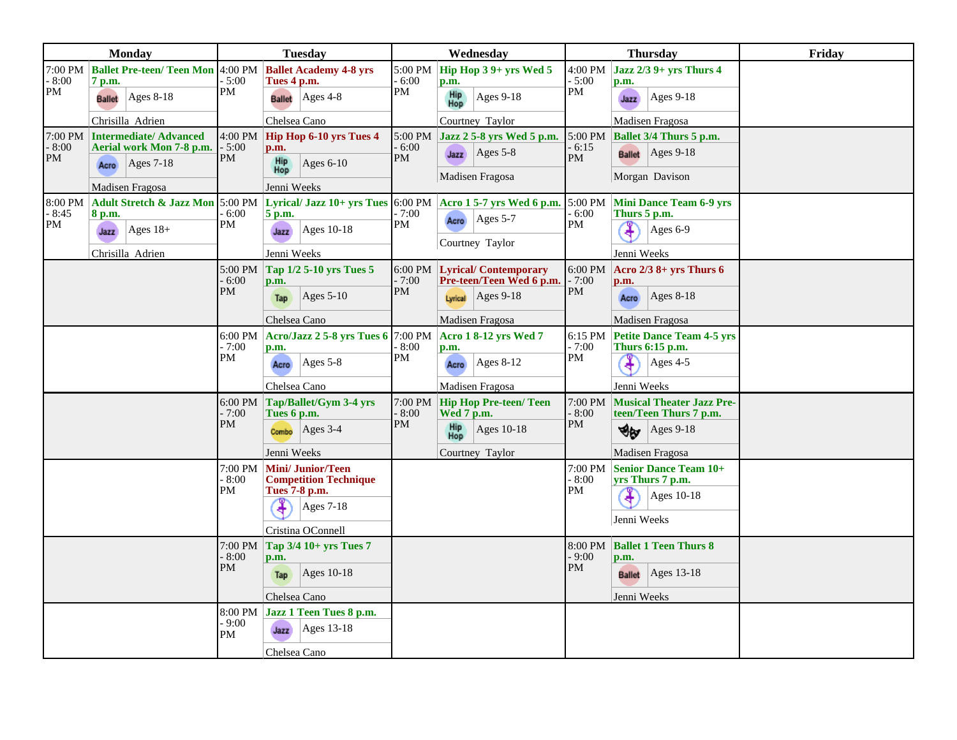| <b>Monday</b>         |                                                    | <b>Tuesday</b>            |                                                                                                                 | Wednesday                          |                                                         | <b>Thursday</b>          |                                                            | Friday |
|-----------------------|----------------------------------------------------|---------------------------|-----------------------------------------------------------------------------------------------------------------|------------------------------------|---------------------------------------------------------|--------------------------|------------------------------------------------------------|--------|
| 7:00 PM<br>8:00<br>PM | <b>Ballet Pre-teen/ Teen Mon 4:00 PM</b><br>7 p.m. | $-5:00$<br>PM             | <b>Ballet Academy 4-8 yrs</b><br>Tues 4 p.m.                                                                    | $5:00 \text{ PM}$<br>$-6:00$<br>PM | Hip Hop 3 9+ yrs Wed 5<br>p.m.                          | 4:00 PM<br>$-5:00$<br>PM | Jazz 2/3 9+ yrs Thurs 4<br>p.m.                            |        |
|                       | <b>Ages 8-18</b><br><b>Ballet</b>                  |                           | $Ages$ 4-8<br><b>Ballet</b>                                                                                     |                                    | Hip<br>Hop<br><b>Ages 9-18</b>                          |                          | $Ages 9-18$<br>Jazz                                        |        |
|                       | Chrisilla Adrien                                   |                           | Chelsea Cano                                                                                                    |                                    | Courtney Taylor                                         |                          | Madisen Fragosa                                            |        |
| 8:00<br>PM            | 7:00 PM Intermediate/ Advanced                     | $4:00$ PM $\vert$         | Hip Hop 6-10 yrs Tues 4                                                                                         | 5:00 PM<br>6:00<br>PM              | Jazz 2 5-8 yrs Wed 5 p.m.                               | 6:15<br>PM               | $5:00 \text{ PM}$ Ballet 3/4 Thurs 5 p.m.                  |        |
|                       | Aerial work Mon 7-8 p.m.<br>$ {\rm Ages } 7$ -18   | $-5:00$<br>PM             | p.m.<br>Ages $6-10$                                                                                             |                                    | $\text{Ages } 5-8$<br>Jazz                              |                          | <b>Ballet</b> Ages 9-18                                    |        |
|                       | Acro                                               |                           | Hip<br>Hop                                                                                                      |                                    | Madisen Fragosa                                         |                          | Morgan Davison                                             |        |
|                       | Madisen Fragosa                                    |                           | Jenni Weeks                                                                                                     |                                    |                                                         |                          |                                                            |        |
| 8:00 PM<br>8:45<br>PM | 8 p.m.                                             | $-6:00$<br>PM             | Adult Stretch & Jazz Mon 5:00 PM Lyrical/ Jazz 10+ yrs Tues 6:00 PM Acro 1 5-7 yrs Wed 6 p.m. 5:00 PM<br>5 p.m. | - 7:00<br>PM                       | Ages $5-7$                                              | 6:00<br>PM               | <b>Mini Dance Team 6-9 yrs</b><br>Thurs 5 p.m.             |        |
|                       | $ {\rm Ages} 18+$<br>Jazz                          |                           | Ages 10-18<br>Jazz                                                                                              |                                    | Acro                                                    |                          | ¥<br>Ages $6-9$                                            |        |
|                       | Chrisilla Adrien                                   |                           | Jenni Weeks                                                                                                     |                                    | Courtney Taylor                                         |                          | Jenni Weeks                                                |        |
|                       |                                                    | $-6:00$                   | 5:00 PM $\boxed{$ Tap 1/2 5-10 yrs Tues 5<br>p.m.                                                               | 6:00 PM<br>$-7:00$                 | <b>Lyrical/Contemporary</b><br>Pre-teen/Teen Wed 6 p.m. | 6:00 PM<br>$-7:00$       | Acro $2/3$ 8+ yrs Thurs 6<br>p.m.                          |        |
|                       |                                                    | PM                        | Ages $5-10$<br>Tap                                                                                              | PM                                 | $\text{Ages } 9-18$<br>Lyrical                          | PM                       | $Ages 8-18$<br>Acro                                        |        |
|                       |                                                    |                           | Chelsea Cano                                                                                                    |                                    | Madisen Fragosa                                         |                          | Madisen Fragosa                                            |        |
|                       |                                                    | $6:00$ PM<br>- 7:00<br>PM | Acro/Jazz 2 5-8 yrs Tues 6 7:00 PM<br>p.m.                                                                      | - 8:00                             | <b>Acro 1 8-12 yrs Wed 7</b><br>p.m.                    | 6:15 PM<br>$-7:00$<br>PM | <b>Petite Dance Team 4-5 yrs</b><br>Thurs 6:15 p.m.        |        |
|                       |                                                    |                           | Ages $5-8$<br>Acro                                                                                              | PM                                 | Ages 8-12<br>Acro                                       |                          | Ages 4-5                                                   |        |
|                       |                                                    |                           | Chelsea Cano                                                                                                    |                                    | Madisen Fragosa                                         |                          | Jenni Weeks                                                |        |
|                       |                                                    | $-7:00$                   | $6:00 \text{ PM}$ Tap/Ballet/Gym 3-4 yrs<br>Tues 6 p.m.                                                         | 7:00 PM<br>$-8:00$                 | <b>Hip Hop Pre-teen/ Teen</b><br>Wed 7 p.m.             | 7:00 PM<br>$-8:00$       | <b>Musical Theater Jazz Pre-</b><br>teen/Teen Thurs 7 p.m. |        |
|                       |                                                    | PM                        | $ Ages 3-4$<br>Combo                                                                                            | PM                                 | Hip<br>Hop<br>Ages 10-18                                | PM                       | $\text{Ages } 9-18$<br>খন্ড                                |        |
|                       |                                                    |                           | Jenni Weeks                                                                                                     |                                    | Courtney Taylor                                         |                          | Madisen Fragosa                                            |        |
|                       |                                                    | $-8:00^{-}$               | 7:00 PM   Mini/ Junior/Teen<br><b>Competition Technique</b>                                                     |                                    |                                                         | 7:00 PM<br>$-8:00$       | Senior Dance Team 10+<br>yrs Thurs 7 p.m.                  |        |
|                       |                                                    | PM                        | Tues 7-8 p.m.<br><b>Ages 7-18</b>                                                                               |                                    |                                                         | PM                       | Ages 10-18<br>Jenni Weeks                                  |        |
|                       |                                                    |                           | Cristina OConnell                                                                                               |                                    |                                                         | 8:00 PM<br>$-9:00$       |                                                            |        |
|                       |                                                    | $7:00$ PM<br>$-8:00^{-}$  | Tap 3/4 10+ yrs Tues 7<br>p.m.                                                                                  |                                    |                                                         |                          | <b>Ballet 1 Teen Thurs 8</b><br>p.m.                       |        |
|                       |                                                    | PM                        | Ages 10-18<br>Tap                                                                                               |                                    |                                                         | <b>PM</b>                | Ages $13-18$<br><b>Ballet</b>                              |        |
|                       |                                                    |                           | Chelsea Cano                                                                                                    |                                    |                                                         |                          | Jenni Weeks                                                |        |
|                       |                                                    |                           | 8:00 PM Jazz 1 Teen Tues 8 p.m.                                                                                 |                                    |                                                         |                          |                                                            |        |
|                       |                                                    | $-9:00^{-}$<br>PM         | Ages 13-18<br>Jazz                                                                                              |                                    |                                                         |                          |                                                            |        |
|                       |                                                    |                           | Chelsea Cano                                                                                                    |                                    |                                                         |                          |                                                            |        |